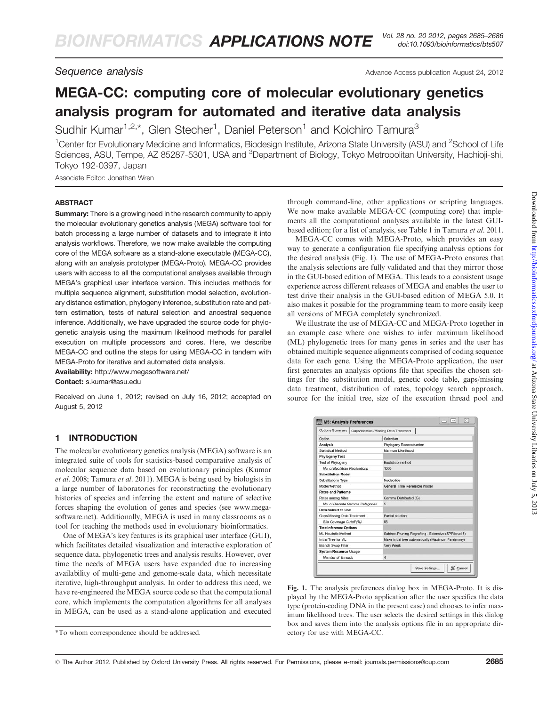Sequence analysis and the settlement of the Advance Access publication August 24, 2012

# MEGA-CC: computing core of molecular evolutionary genetics analysis program for automated and iterative data analysis

Sudhir Kumar<sup>1,2,\*</sup>, Glen Stecher<sup>1</sup>, Daniel Peterson<sup>1</sup> and Koichiro Tamura<sup>3</sup>

<sup>1</sup>Center for Evolutionary Medicine and Informatics, Biodesign Institute, Arizona State University (ASU) and <sup>2</sup>School of Life Sciences, ASU, Tempe, AZ 85287-5301, USA and <sup>3</sup>Department of Biology, Tokyo Metropolitan University, Hachioji-shi, Tokyo 192-0397, Japan

Associate Editor: Jonathan Wren

## ABSTRACT

**Summary:** There is a growing need in the research community to apply the molecular evolutionary genetics analysis (MEGA) software tool for batch processing a large number of datasets and to integrate it into analysis workflows. Therefore, we now make available the computing core of the MEGA software as a stand-alone executable (MEGA-CC), along with an analysis prototyper (MEGA-Proto). MEGA-CC provides users with access to all the computational analyses available through MEGA's graphical user interface version. This includes methods for multiple sequence alignment, substitution model selection, evolutionary distance estimation, phylogeny inference, substitution rate and pattern estimation, tests of natural selection and ancestral sequence inference. Additionally, we have upgraded the source code for phylogenetic analysis using the maximum likelihood methods for parallel execution on multiple processors and cores. Here, we describe MEGA-CC and outline the steps for using MEGA-CC in tandem with MEGA-Proto for iterative and automated data analysis.

Availability: http://www.megasoftware.net/ Contact: s.kumar@asu.edu

Received on June 1, 2012; revised on July 16, 2012; accepted on August 5, 2012

## 1 INTRODUCTION

The molecular evolutionary genetics analysis (MEGA) software is an integrated suite of tools for statistics-based comparative analysis of molecular sequence data based on evolutionary principles [\(Kumar](#page-1-0) [et al.](#page-1-0) 2008; [Tamura](#page-1-0) et al. 2011). MEGA is being used by biologists in a large number of laboratories for reconstructing the evolutionary histories of species and inferring the extent and nature of selective forces shaping the evolution of genes and species (see www.megasoftware.net). Additionally, MEGA is used in many classrooms as a tool for teaching the methods used in evolutionary bioinformatics.

One of MEGA's key features is its graphical user interface (GUI), which facilitates detailed visualization and interactive exploration of sequence data, phylogenetic trees and analysis results. However, over time the needs of MEGA users have expanded due to increasing availability of multi-gene and genome-scale data, which necessitate iterative, high-throughput analysis. In order to address this need, we have re-engineered the MEGA source code so that the computational core, which implements the computation algorithms for all analyses in MEGA, can be used as a stand-alone application and executed

through command-line, other applications or scripting languages. We now make available MEGA-CC (computing core) that implements all the computational analyses available in the latest GUIbased edition; for a list of analysis, see Table 1 in [Tamura](#page-1-0) et al. 2011.

MEGA-CC comes with MEGA-Proto, which provides an easy way to generate a configuration file specifying analysis options for the desired analysis (Fig. 1). The use of MEGA-Proto ensures that the analysis selections are fully validated and that they mirror those in the GUI-based edition of MEGA. This leads to a consistent usage experience across different releases of MEGA and enables the user to test drive their analysis in the GUI-based edition of MEGA 5.0. It also makes it possible for the programming team to more easily keep all versions of MEGA completely synchronized.

We illustrate the use of MEGA-CC and MEGA-Proto together in an example case where one wishes to infer maximum likelihood (ML) phylogenetic trees for many genes in series and the user has obtained multiple sequence alignments comprised of coding sequence data for each gene. Using the MEGA-Proto application, the user first generates an analysis options file that specifies the chosen settings for the substitution model, genetic code table, gaps/missing data treatment, distribution of rates, topology search approach, source for the initial tree, size of the execution thread pool and

| Options Summary                  | Gaps/Identical/Missing Data Treatment                |
|----------------------------------|------------------------------------------------------|
| Ontion                           | Selection                                            |
| <b>Analysis</b>                  | Phylogeny Reconstruction                             |
| Statistical Method               | Maimum Likelihood                                    |
| <b>Phylogeny Test</b>            |                                                      |
| <b>Test of Phylogeny</b>         | Bootstrap method                                     |
| No. of Bootstrap Replications    | 1000                                                 |
| <b>Substitution Model</b>        |                                                      |
| Substitutions Type               | Nucleotide                                           |
| Model/Method                     | General Time Reversible model                        |
| <b>Rates and Patterns</b>        |                                                      |
| Rates among Sites                | Gamma Distributed (G)                                |
| No. of Discrete Gamma Categories | 5                                                    |
| Data Subset to Use               |                                                      |
| Gaps/Missing Data Treatment      | Partial deletion                                     |
| Site Coverage Cutoff (%)         | 95                                                   |
| <b>Tree Inference Options</b>    |                                                      |
| ML Heuristic Method              | Subtree-Pruning-Regrafting - Extensive (SPR level 5) |
| Initial Tree for ML              | Make initial tree automatically (Maximum Parsimony)  |
| <b>Branch Swap Filter</b>        | Very Weak                                            |
| <b>System Resource Usage</b>     |                                                      |
| Number of Threads                | $\overline{A}$                                       |

Fig. 1. The analysis preferences dialog box in MEGA-Proto. It is displayed by the MEGA-Proto application after the user specifies the data type (protein-coding DNA in the present case) and chooses to infer maximum likelihood trees. The user selects the desired settings in this dialog box and saves them into the analysis options file in an appropriate directory for use with MEGA-CC.

<sup>\*</sup>To whom correspondence should be addressed.